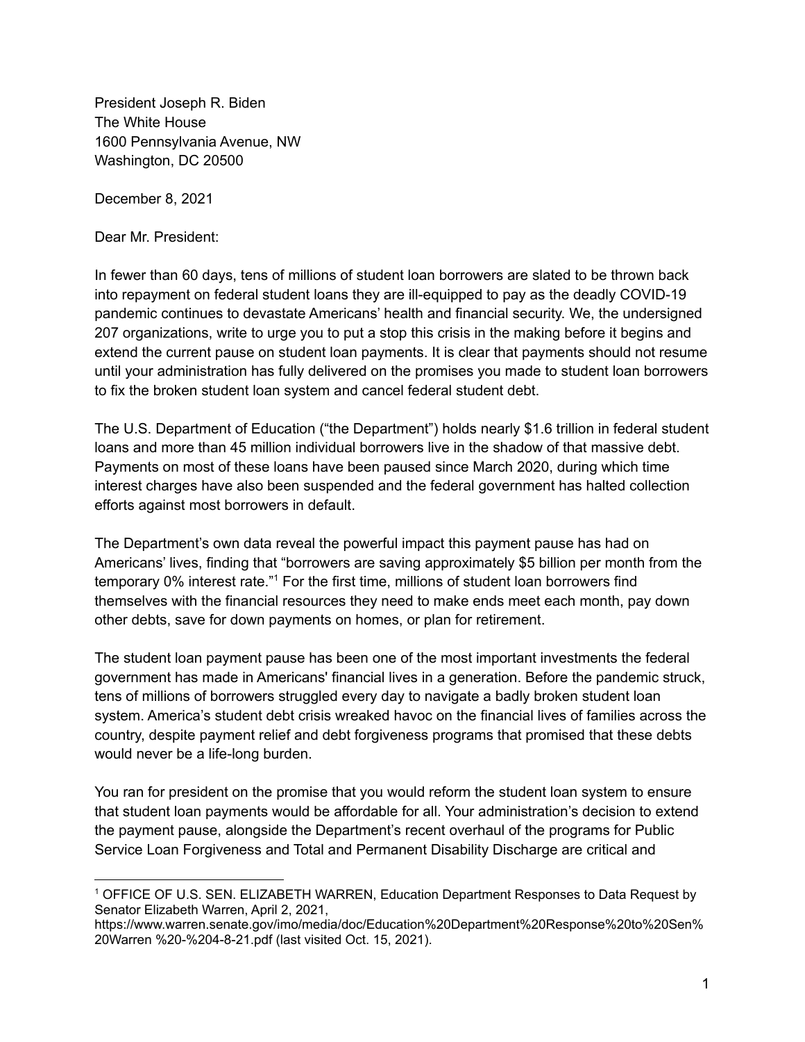President Joseph R. Biden The White House 1600 Pennsylvania Avenue, NW Washington, DC 20500

December 8, 2021

Dear Mr. President:

In fewer than 60 days, tens of millions of student loan borrowers are slated to be thrown back into repayment on federal student loans they are ill-equipped to pay as the deadly COVID-19 pandemic continues to devastate Americans' health and financial security. We, the undersigned 207 organizations, write to urge you to put a stop this crisis in the making before it begins and extend the current pause on student loan payments. It is clear that payments should not resume until your administration has fully delivered on the promises you made to student loan borrowers to fix the broken student loan system and cancel federal student debt.

The U.S. Department of Education ("the Department") holds nearly \$1.6 trillion in federal student loans and more than 45 million individual borrowers live in the shadow of that massive debt. Payments on most of these loans have been paused since March 2020, during which time interest charges have also been suspended and the federal government has halted collection efforts against most borrowers in default.

The Department's own data reveal the powerful impact this payment pause has had on Americans' lives, finding that "borrowers are saving approximately \$5 billion per month from the temporary 0% interest rate." <sup>1</sup> For the first time, millions of student loan borrowers find themselves with the financial resources they need to make ends meet each month, pay down other debts, save for down payments on homes, or plan for retirement.

The student loan payment pause has been one of the most important investments the federal government has made in Americans' financial lives in a generation. Before the pandemic struck, tens of millions of borrowers struggled every day to navigate a badly broken student loan system. America's student debt crisis wreaked havoc on the financial lives of families across the country, despite payment relief and debt forgiveness programs that promised that these debts would never be a life-long burden.

You ran for president on the promise that you would reform the student loan system to ensure that student loan payments would be affordable for all. Your administration's decision to extend the payment pause, alongside the Department's recent overhaul of the programs for Public Service Loan Forgiveness and Total and Permanent Disability Discharge are critical and

<sup>1</sup> OFFICE OF U.S. SEN. ELIZABETH WARREN, Education Department Responses to Data Request by Senator Elizabeth Warren, April 2, 2021,

https://www.warren.senate.gov/imo/media/doc/Education%20Department%20Response%20to%20Sen% 20Warren %20-%204-8-21.pdf (last visited Oct. 15, 2021).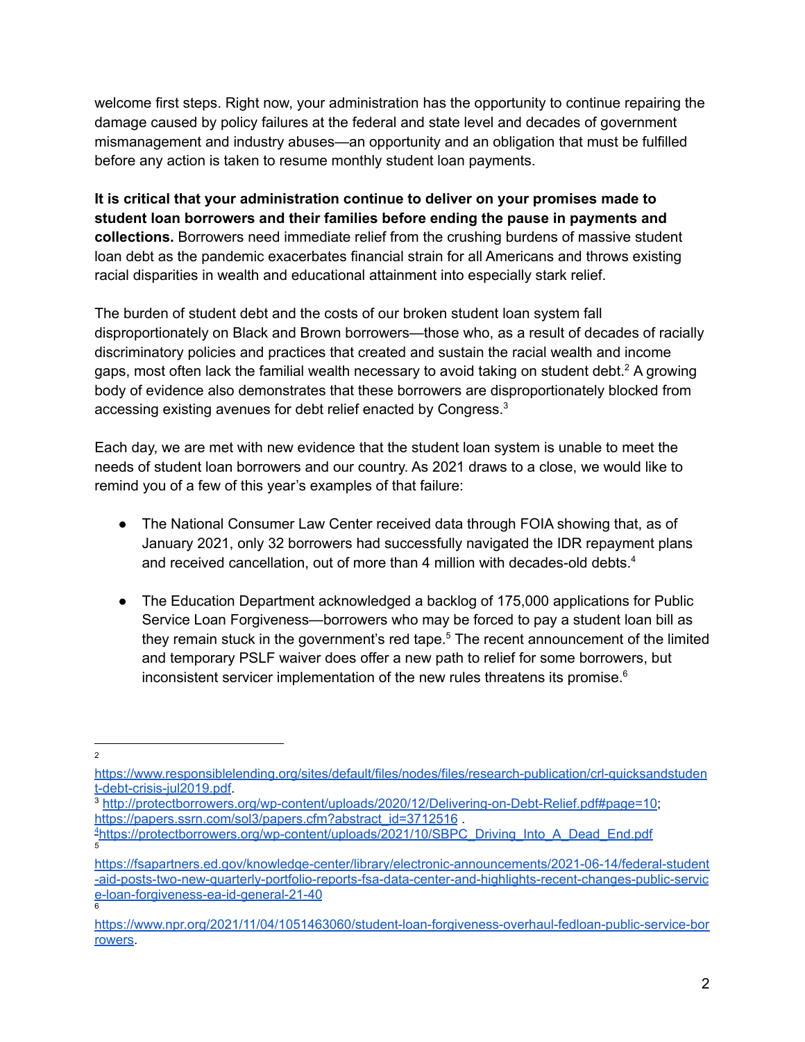welcome first steps. Right now, your administration has the opportunity to continue repairing the damage caused by policy failures at the federal and state level and decades of government mismanagement and industry abuses—an opportunity and an obligation that must be fulfilled before any action is taken to resume monthly student loan payments.

**It is critical that your administration continue to deliver on your promises made to student loan borrowers and their families before ending the pause in payments and collections.** Borrowers need immediate relief from the crushing burdens of massive student loan debt as the pandemic exacerbates financial strain for all Americans and throws existing racial disparities in wealth and educational attainment into especially stark relief.

The burden of student debt and the costs of our broken student loan system fall disproportionately on Black and Brown borrowers—those who, as a result of decades of racially discriminatory policies and practices that created and sustain the racial wealth and income gaps, most often lack the familial wealth necessary to avoid taking on student debt.<sup>2</sup> A growing body of evidence also demonstrates that these borrowers are disproportionately blocked from accessing existing avenues for debt relief enacted by Congress.<sup>3</sup>

Each day, we are met with new evidence that the student loan system is unable to meet the needs of student loan borrowers and our country. As 2021 draws to a close, we would like to remind you of a few of this year's examples of that failure:

- The National Consumer Law Center received data through FOIA showing that, as of January 2021, only 32 borrowers had successfully navigated the IDR repayment plans and received cancellation, out of more than 4 million with decades-old debts. 4
- The Education Department acknowledged a backlog of 175,000 applications for Public Service Loan Forgiveness—borrowers who may be forced to pay a student loan bill as they remain stuck in the government's red tape.<sup>5</sup> The recent announcement of the limited and temporary PSLF waiver does offer a new path to relief for some borrowers, but inconsistent servicer implementation of the new rules threatens its promise. 6

- <sup>3</sup> <http://protectborrowers.org/wp-content/uploads/2020/12/Delivering-on-Debt-Relief.pdf#page=10>; [https://papers.ssrn.com/sol3/papers.cfm?abstract\\_id=3712516](https://papers.ssrn.com/sol3/papers.cfm?abstract_id=3712516) .
- 5 <sup>4</sup>[https://protectborrowers.org/wp-content/uploads/2021/10/SBPC\\_Driving\\_Into\\_A\\_Dead\\_End.pdf](https://protectborrowers.org/wp-content/uploads/2021/10/SBPC_Driving_Into_A_Dead_End.pdf)

 $\overline{2}$ 

[https://www.responsiblelending.org/sites/default/files/nodes/files/research-publication/crl-quicksandstuden](https://www.responsiblelending.org/sites/default/files/nodes/files/research-publication/crl-quicksandstudent-debt-crisis-jul2019.pdf) [t-debt-crisis-jul2019.pdf.](https://www.responsiblelending.org/sites/default/files/nodes/files/research-publication/crl-quicksandstudent-debt-crisis-jul2019.pdf)

<sup>6</sup> [https://fsapartners.ed.gov/knowledge-center/library/electronic-announcements/2021-06-14/federal-student](https://fsapartners.ed.gov/knowledge-center/library/electronic-announcements/2021-06-14/federal-student-aid-posts-two-new-quarterly-portfolio-reports-fsa-data-center-and-highlights-recent-changes-public-service-loan-forgiveness-ea-id-general-21-40) [-aid-posts-two-new-quarterly-portfolio-reports-fsa-data-center-and-highlights-recent-changes-public-servic](https://fsapartners.ed.gov/knowledge-center/library/electronic-announcements/2021-06-14/federal-student-aid-posts-two-new-quarterly-portfolio-reports-fsa-data-center-and-highlights-recent-changes-public-service-loan-forgiveness-ea-id-general-21-40) [e-loan-forgiveness-ea-id-general-21-40](https://fsapartners.ed.gov/knowledge-center/library/electronic-announcements/2021-06-14/federal-student-aid-posts-two-new-quarterly-portfolio-reports-fsa-data-center-and-highlights-recent-changes-public-service-loan-forgiveness-ea-id-general-21-40)

[https://www.npr.org/2021/11/04/1051463060/student-loan-forgiveness-overhaul-fedloan-public-service-bor](https://www.npr.org/2021/11/04/1051463060/student-loan-forgiveness-overhaul-fedloan-public-service-borrowers) [rowers.](https://www.npr.org/2021/11/04/1051463060/student-loan-forgiveness-overhaul-fedloan-public-service-borrowers)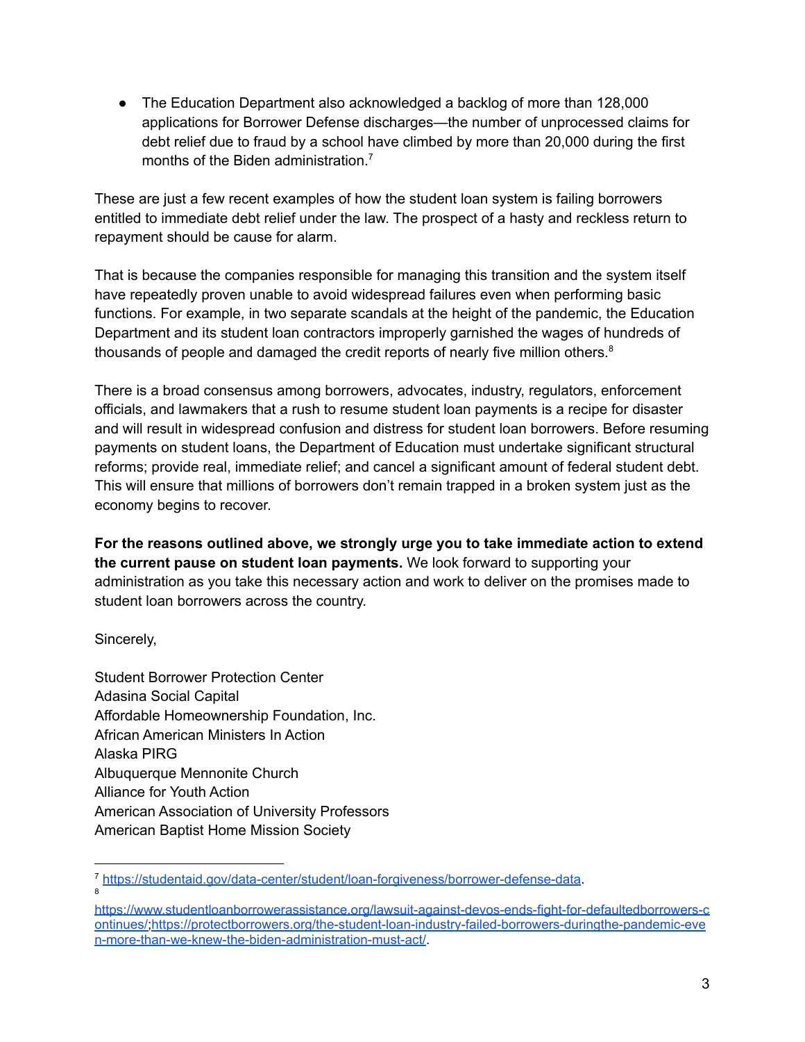• The Education Department also acknowledged a backlog of more than 128,000 applications for Borrower Defense discharges—the number of unprocessed claims for debt relief due to fraud by a school have climbed by more than 20,000 during the first months of the Biden administration. 7

These are just a few recent examples of how the student loan system is failing borrowers entitled to immediate debt relief under the law. The prospect of a hasty and reckless return to repayment should be cause for alarm.

That is because the companies responsible for managing this transition and the system itself have repeatedly proven unable to avoid widespread failures even when performing basic functions. For example, in two separate scandals at the height of the pandemic, the Education Department and its student loan contractors improperly garnished the wages of hundreds of thousands of people and damaged the credit reports of nearly five million others.<sup>8</sup>

There is a broad consensus among borrowers, advocates, industry, regulators, enforcement officials, and lawmakers that a rush to resume student loan payments is a recipe for disaster and will result in widespread confusion and distress for student loan borrowers. Before resuming payments on student loans, the Department of Education must undertake significant structural reforms; provide real, immediate relief; and cancel a significant amount of federal student debt. This will ensure that millions of borrowers don't remain trapped in a broken system just as the economy begins to recover.

**For the reasons outlined above, we strongly urge you to take immediate action to extend the current pause on student loan payments.** We look forward to supporting your administration as you take this necessary action and work to deliver on the promises made to student loan borrowers across the country.

Sincerely,

Student Borrower Protection Center Adasina Social Capital Affordable Homeownership Foundation, Inc. African American Ministers In Action Alaska PIRG Albuquerque Mennonite Church Alliance for Youth Action American Association of University Professors American Baptist Home Mission Society

<sup>8</sup> <sup>7</sup> <https://studentaid.gov/data-center/student/loan-forgiveness/borrower-defense-data>.

[https://www.studentloanborrowerassistance.org/lawsuit-against-devos-ends-fight-for-defaultedborrowers-c](https://www.studentloanborrowerassistance.org/lawsuit-against-devos-ends-fight-for-defaultedborrowers-continues/) [ontinues/;](https://www.studentloanborrowerassistance.org/lawsuit-against-devos-ends-fight-for-defaultedborrowers-continues/)[https://protectborrowers.org/the-student-loan-industry-failed-borrowers-duringthe-pandemic-eve](https://protectborrowers.org/the-student-loan-industry-failed-borrowers-duringthe-pandemic-even-more-than-we-knew-the-biden-administration-must-act/) [n-more-than-we-knew-the-biden-administration-must-act/](https://protectborrowers.org/the-student-loan-industry-failed-borrowers-duringthe-pandemic-even-more-than-we-knew-the-biden-administration-must-act/).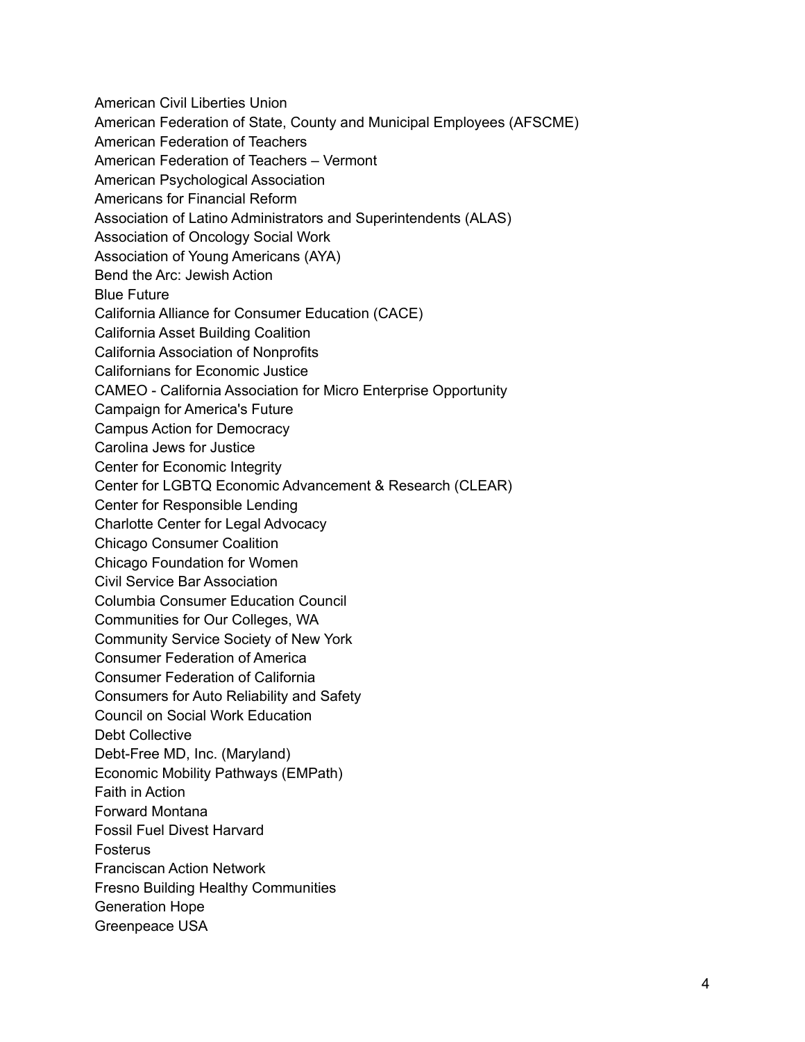American Civil Liberties Union American Federation of State, County and Municipal Employees (AFSCME) American Federation of Teachers American Federation of Teachers – Vermont American Psychological Association Americans for Financial Reform Association of Latino Administrators and Superintendents (ALAS) Association of Oncology Social Work Association of Young Americans (AYA) Bend the Arc: Jewish Action Blue Future California Alliance for Consumer Education (CACE) California Asset Building Coalition California Association of Nonprofits Californians for Economic Justice CAMEO - California Association for Micro Enterprise Opportunity Campaign for America's Future Campus Action for Democracy Carolina Jews for Justice Center for Economic Integrity Center for LGBTQ Economic Advancement & Research (CLEAR) Center for Responsible Lending Charlotte Center for Legal Advocacy Chicago Consumer Coalition Chicago Foundation for Women Civil Service Bar Association Columbia Consumer Education Council Communities for Our Colleges, WA Community Service Society of New York Consumer Federation of America Consumer Federation of California Consumers for Auto Reliability and Safety Council on Social Work Education Debt Collective Debt-Free MD, Inc. (Maryland) Economic Mobility Pathways (EMPath) Faith in Action Forward Montana Fossil Fuel Divest Harvard Fosterus Franciscan Action Network Fresno Building Healthy Communities Generation Hope Greenpeace USA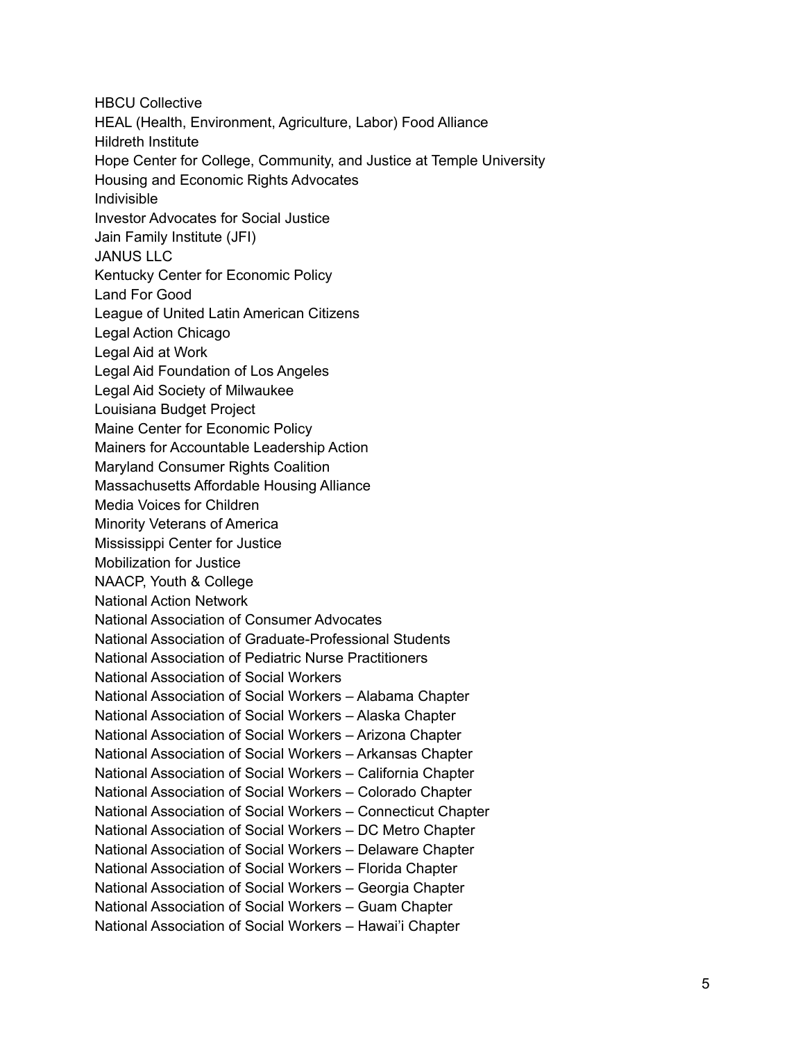HBCU Collective HEAL (Health, Environment, Agriculture, Labor) Food Alliance Hildreth Institute Hope Center for College, Community, and Justice at Temple University Housing and Economic Rights Advocates Indivisible Investor Advocates for Social Justice Jain Family Institute (JFI) JANUS LLC Kentucky Center for Economic Policy Land For Good League of United Latin American Citizens Legal Action Chicago Legal Aid at Work Legal Aid Foundation of Los Angeles Legal Aid Society of Milwaukee Louisiana Budget Project Maine Center for Economic Policy Mainers for Accountable Leadership Action Maryland Consumer Rights Coalition Massachusetts Affordable Housing Alliance Media Voices for Children Minority Veterans of America Mississippi Center for Justice Mobilization for Justice NAACP, Youth & College National Action Network National Association of Consumer Advocates National Association of Graduate-Professional Students National Association of Pediatric Nurse Practitioners National Association of Social Workers National Association of Social Workers – Alabama Chapter National Association of Social Workers – Alaska Chapter National Association of Social Workers – Arizona Chapter National Association of Social Workers – Arkansas Chapter National Association of Social Workers – California Chapter National Association of Social Workers – Colorado Chapter National Association of Social Workers – Connecticut Chapter National Association of Social Workers – DC Metro Chapter National Association of Social Workers – Delaware Chapter National Association of Social Workers – Florida Chapter National Association of Social Workers – Georgia Chapter National Association of Social Workers – Guam Chapter National Association of Social Workers – Hawai'i Chapter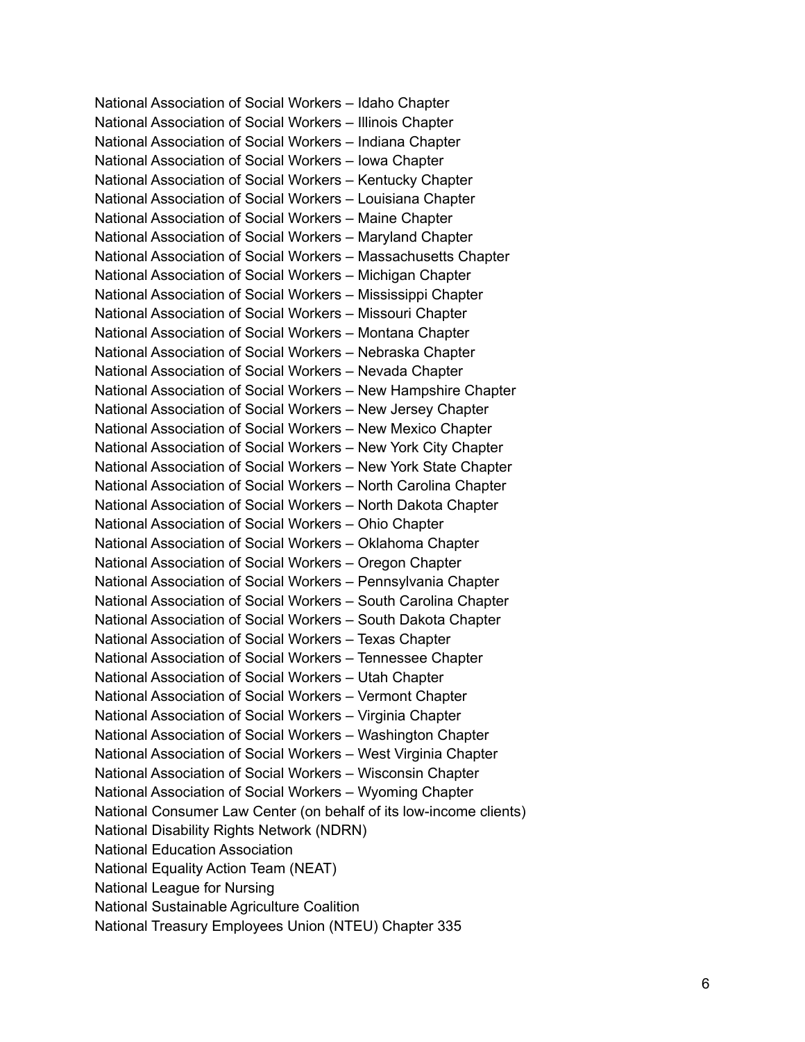National Association of Social Workers – Idaho Chapter National Association of Social Workers – Illinois Chapter National Association of Social Workers – Indiana Chapter National Association of Social Workers – Iowa Chapter National Association of Social Workers – Kentucky Chapter National Association of Social Workers – Louisiana Chapter National Association of Social Workers – Maine Chapter National Association of Social Workers – Maryland Chapter National Association of Social Workers – Massachusetts Chapter National Association of Social Workers – Michigan Chapter National Association of Social Workers – Mississippi Chapter National Association of Social Workers – Missouri Chapter National Association of Social Workers – Montana Chapter National Association of Social Workers – Nebraska Chapter National Association of Social Workers – Nevada Chapter National Association of Social Workers – New Hampshire Chapter National Association of Social Workers – New Jersey Chapter National Association of Social Workers – New Mexico Chapter National Association of Social Workers – New York City Chapter National Association of Social Workers – New York State Chapter National Association of Social Workers – North Carolina Chapter National Association of Social Workers – North Dakota Chapter National Association of Social Workers – Ohio Chapter National Association of Social Workers – Oklahoma Chapter National Association of Social Workers – Oregon Chapter National Association of Social Workers – Pennsylvania Chapter National Association of Social Workers – South Carolina Chapter National Association of Social Workers – South Dakota Chapter National Association of Social Workers – Texas Chapter National Association of Social Workers – Tennessee Chapter National Association of Social Workers – Utah Chapter National Association of Social Workers – Vermont Chapter National Association of Social Workers – Virginia Chapter National Association of Social Workers – Washington Chapter National Association of Social Workers – West Virginia Chapter National Association of Social Workers – Wisconsin Chapter National Association of Social Workers – Wyoming Chapter National Consumer Law Center (on behalf of its low-income clients) National Disability Rights Network (NDRN) National Education Association National Equality Action Team (NEAT) National League for Nursing National Sustainable Agriculture Coalition National Treasury Employees Union (NTEU) Chapter 335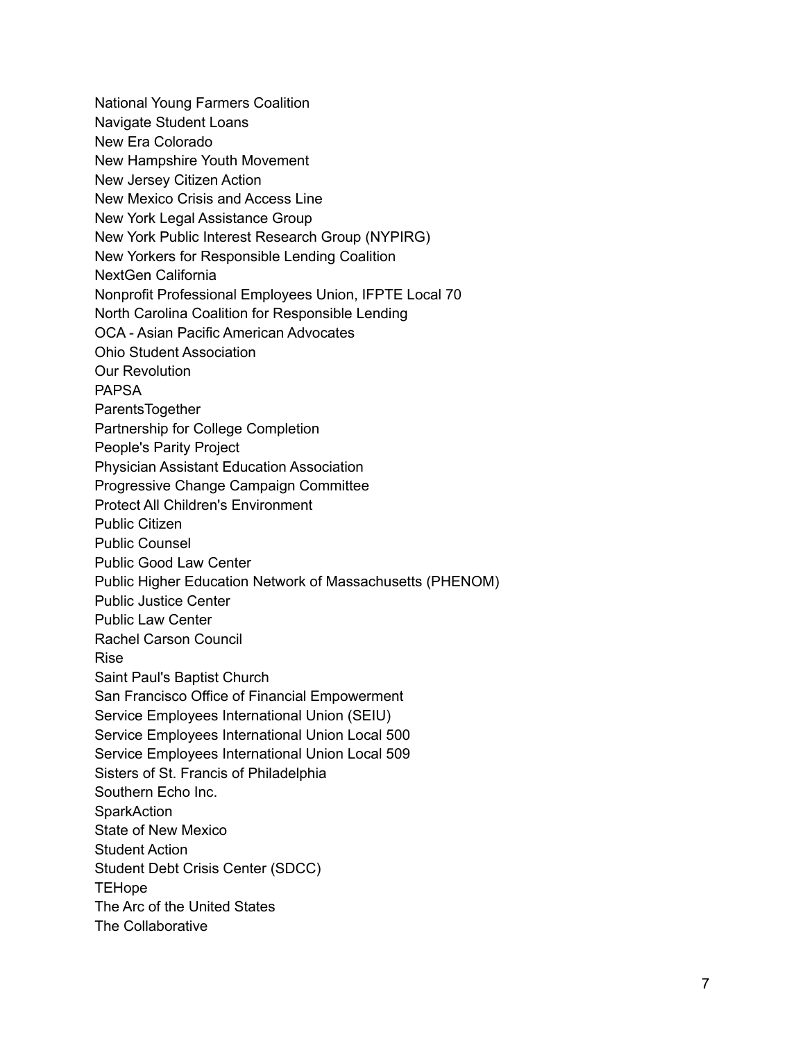National Young Farmers Coalition Navigate Student Loans New Era Colorado New Hampshire Youth Movement New Jersey Citizen Action New Mexico Crisis and Access Line New York Legal Assistance Group New York Public Interest Research Group (NYPIRG) New Yorkers for Responsible Lending Coalition NextGen California Nonprofit Professional Employees Union, IFPTE Local 70 North Carolina Coalition for Responsible Lending OCA - Asian Pacific American Advocates Ohio Student Association Our Revolution PAPSA ParentsTogether Partnership for College Completion People's Parity Project Physician Assistant Education Association Progressive Change Campaign Committee Protect All Children's Environment Public Citizen Public Counsel Public Good Law Center Public Higher Education Network of Massachusetts (PHENOM) Public Justice Center Public Law Center Rachel Carson Council Rise Saint Paul's Baptist Church San Francisco Office of Financial Empowerment Service Employees International Union (SEIU) Service Employees International Union Local 500 Service Employees International Union Local 509 Sisters of St. Francis of Philadelphia Southern Echo Inc. **SparkAction** State of New Mexico Student Action Student Debt Crisis Center (SDCC) **TEHope** The Arc of the United States The Collaborative